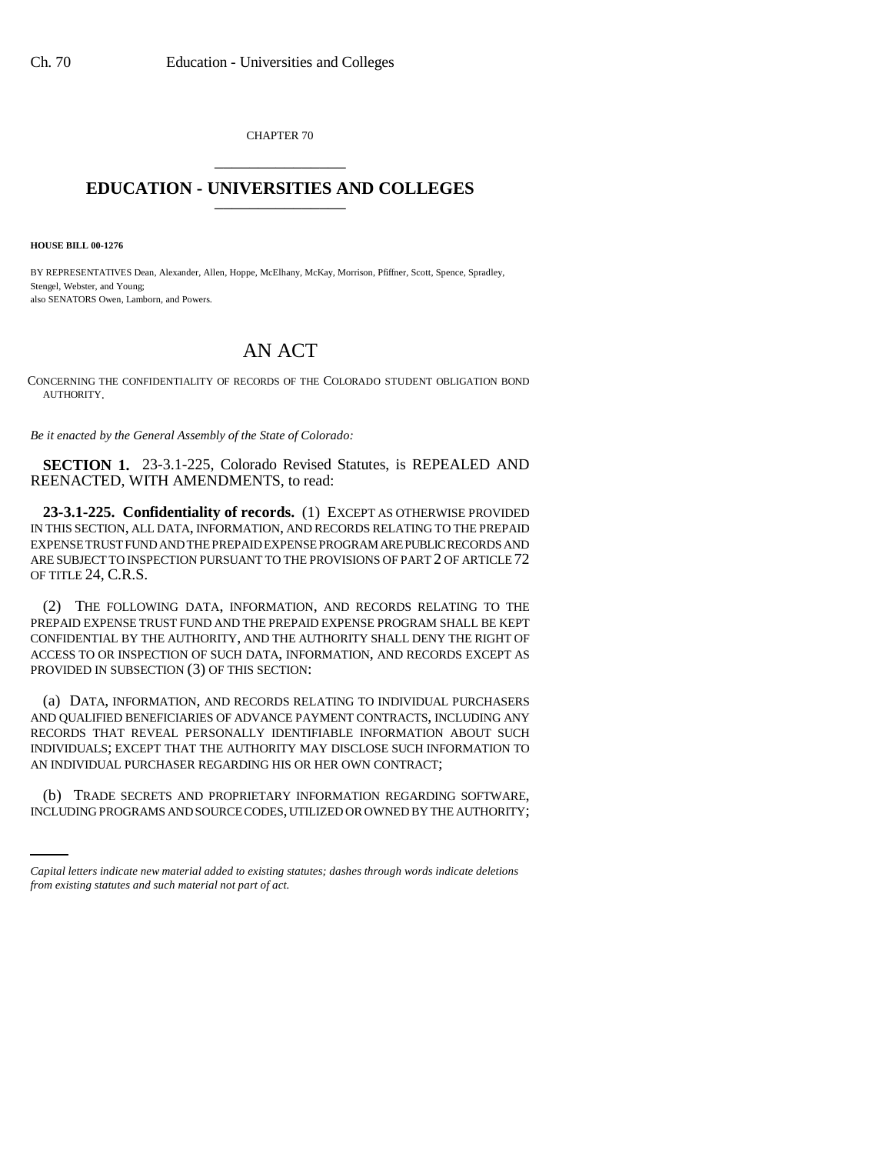CHAPTER 70 \_\_\_\_\_\_\_\_\_\_\_\_\_\_\_

## **EDUCATION - UNIVERSITIES AND COLLEGES** \_\_\_\_\_\_\_\_\_\_\_\_\_\_\_

**HOUSE BILL 00-1276** 

BY REPRESENTATIVES Dean, Alexander, Allen, Hoppe, McElhany, McKay, Morrison, Pfiffner, Scott, Spence, Spradley, Stengel, Webster, and Young; also SENATORS Owen, Lamborn, and Powers.

## AN ACT

CONCERNING THE CONFIDENTIALITY OF RECORDS OF THE COLORADO STUDENT OBLIGATION BOND AUTHORITY.

*Be it enacted by the General Assembly of the State of Colorado:*

**SECTION 1.** 23-3.1-225, Colorado Revised Statutes, is REPEALED AND REENACTED, WITH AMENDMENTS, to read:

**23-3.1-225. Confidentiality of records.** (1) EXCEPT AS OTHERWISE PROVIDED IN THIS SECTION, ALL DATA, INFORMATION, AND RECORDS RELATING TO THE PREPAID EXPENSE TRUST FUND AND THE PREPAID EXPENSE PROGRAM ARE PUBLIC RECORDS AND ARE SUBJECT TO INSPECTION PURSUANT TO THE PROVISIONS OF PART 2 OF ARTICLE 72 OF TITLE 24, C.R.S.

(2) THE FOLLOWING DATA, INFORMATION, AND RECORDS RELATING TO THE PREPAID EXPENSE TRUST FUND AND THE PREPAID EXPENSE PROGRAM SHALL BE KEPT CONFIDENTIAL BY THE AUTHORITY, AND THE AUTHORITY SHALL DENY THE RIGHT OF ACCESS TO OR INSPECTION OF SUCH DATA, INFORMATION, AND RECORDS EXCEPT AS PROVIDED IN SUBSECTION (3) OF THIS SECTION:

(a) DATA, INFORMATION, AND RECORDS RELATING TO INDIVIDUAL PURCHASERS AND QUALIFIED BENEFICIARIES OF ADVANCE PAYMENT CONTRACTS, INCLUDING ANY RECORDS THAT REVEAL PERSONALLY IDENTIFIABLE INFORMATION ABOUT SUCH INDIVIDUALS; EXCEPT THAT THE AUTHORITY MAY DISCLOSE SUCH INFORMATION TO AN INDIVIDUAL PURCHASER REGARDING HIS OR HER OWN CONTRACT;

(b) TRADE SECRETS AND PROPRIETARY INFORMATION REGARDING SOFTWARE, INCLUDING PROGRAMS AND SOURCE CODES, UTILIZED OR OWNED BY THE AUTHORITY;

*Capital letters indicate new material added to existing statutes; dashes through words indicate deletions from existing statutes and such material not part of act.*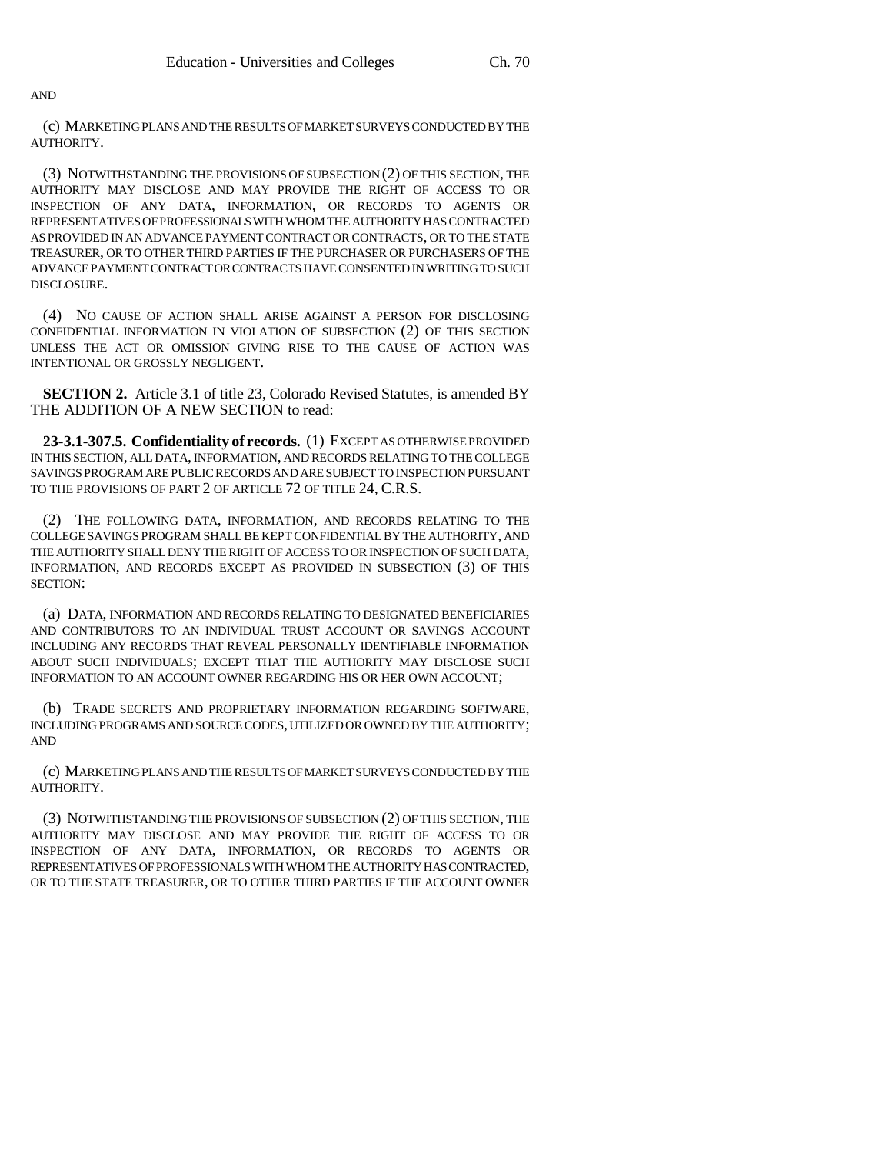AND

(c) MARKETING PLANS AND THE RESULTS OF MARKET SURVEYS CONDUCTED BY THE AUTHORITY.

(3) NOTWITHSTANDING THE PROVISIONS OF SUBSECTION (2) OF THIS SECTION, THE AUTHORITY MAY DISCLOSE AND MAY PROVIDE THE RIGHT OF ACCESS TO OR INSPECTION OF ANY DATA, INFORMATION, OR RECORDS TO AGENTS OR REPRESENTATIVES OF PROFESSIONALS WITH WHOM THE AUTHORITY HAS CONTRACTED AS PROVIDED IN AN ADVANCE PAYMENT CONTRACT OR CONTRACTS, OR TO THE STATE TREASURER, OR TO OTHER THIRD PARTIES IF THE PURCHASER OR PURCHASERS OF THE ADVANCE PAYMENT CONTRACT OR CONTRACTS HAVE CONSENTED IN WRITING TO SUCH DISCLOSURE.

(4) NO CAUSE OF ACTION SHALL ARISE AGAINST A PERSON FOR DISCLOSING CONFIDENTIAL INFORMATION IN VIOLATION OF SUBSECTION (2) OF THIS SECTION UNLESS THE ACT OR OMISSION GIVING RISE TO THE CAUSE OF ACTION WAS INTENTIONAL OR GROSSLY NEGLIGENT.

**SECTION 2.** Article 3.1 of title 23, Colorado Revised Statutes, is amended BY THE ADDITION OF A NEW SECTION to read:

**23-3.1-307.5. Confidentiality of records.** (1) EXCEPT AS OTHERWISE PROVIDED IN THIS SECTION, ALL DATA, INFORMATION, AND RECORDS RELATING TO THE COLLEGE SAVINGS PROGRAM ARE PUBLIC RECORDS AND ARE SUBJECT TO INSPECTION PURSUANT TO THE PROVISIONS OF PART 2 OF ARTICLE 72 OF TITLE 24, C.R.S.

(2) THE FOLLOWING DATA, INFORMATION, AND RECORDS RELATING TO THE COLLEGE SAVINGS PROGRAM SHALL BE KEPT CONFIDENTIAL BY THE AUTHORITY, AND THE AUTHORITY SHALL DENY THE RIGHT OF ACCESS TO OR INSPECTION OF SUCH DATA, INFORMATION, AND RECORDS EXCEPT AS PROVIDED IN SUBSECTION (3) OF THIS SECTION:

(a) DATA, INFORMATION AND RECORDS RELATING TO DESIGNATED BENEFICIARIES AND CONTRIBUTORS TO AN INDIVIDUAL TRUST ACCOUNT OR SAVINGS ACCOUNT INCLUDING ANY RECORDS THAT REVEAL PERSONALLY IDENTIFIABLE INFORMATION ABOUT SUCH INDIVIDUALS; EXCEPT THAT THE AUTHORITY MAY DISCLOSE SUCH INFORMATION TO AN ACCOUNT OWNER REGARDING HIS OR HER OWN ACCOUNT;

(b) TRADE SECRETS AND PROPRIETARY INFORMATION REGARDING SOFTWARE, INCLUDING PROGRAMS AND SOURCE CODES, UTILIZED OR OWNED BY THE AUTHORITY; AND

(c) MARKETING PLANS AND THE RESULTS OF MARKET SURVEYS CONDUCTED BY THE AUTHORITY.

(3) NOTWITHSTANDING THE PROVISIONS OF SUBSECTION (2) OF THIS SECTION, THE AUTHORITY MAY DISCLOSE AND MAY PROVIDE THE RIGHT OF ACCESS TO OR INSPECTION OF ANY DATA, INFORMATION, OR RECORDS TO AGENTS OR REPRESENTATIVES OF PROFESSIONALS WITH WHOM THE AUTHORITY HAS CONTRACTED, OR TO THE STATE TREASURER, OR TO OTHER THIRD PARTIES IF THE ACCOUNT OWNER